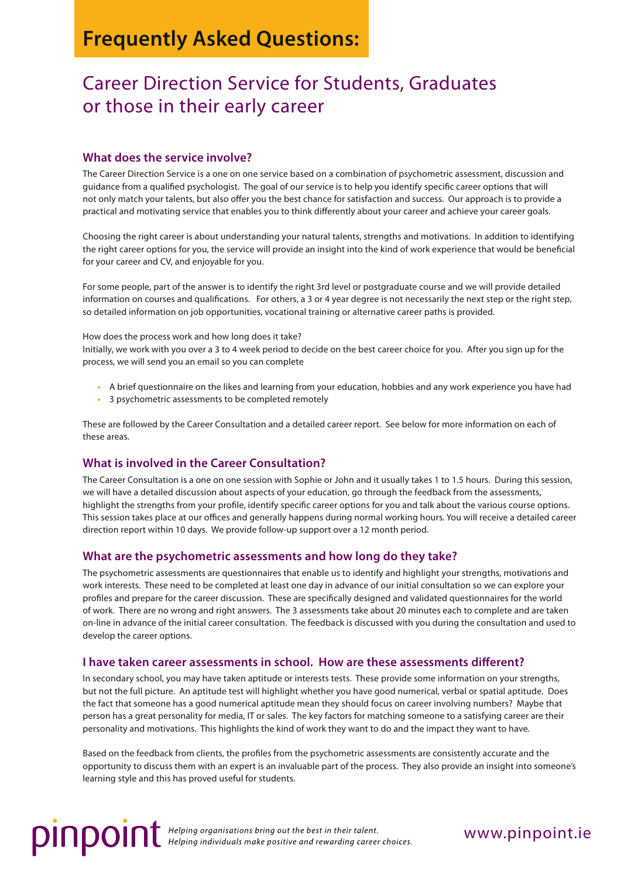# **Frequently Asked Questions:**

# Career Direction Service for Students, Graduates or those in their early career

## **What does the service involve?**

The Career Direction Service is a one on one service based on a combination of psychometric assessment, discussion and guidance from a qualified psychologist. The goal of our service is to help you identify specific career options that will not only match your talents, but also offer you the best chance for satisfaction and success. Our approach is to provide a practical and motivating service that enables you to think differently about your career and achieve your career goals.

Choosing the right career is about understanding your natural talents, strengths and motivations. In addition to identifying the right career options for you, the service will provide an insight into the kind of work experience that would be beneficial for your career and CV, and enjoyable for you.

For some people, part of the answer is to identify the right 3rd level or postgraduate course and we will provide detailed information on courses and qualifications. For others, a 3 or 4 year degree is not necessarily the next step or the right step, so detailed information on job opportunities, vocational training or alternative career paths is provided.

How does the process work and how long does it take?

Initially, we work with you over a 3 to 4 week period to decide on the best career choice for you. After you sign up for the process, we will send you an email so you can complete

- **•** A brief questionnaire on the likes and learning from your education, hobbies and any work experience you have had
- **•** 3 psychometric assessments to be completed remotely

These are followed by the Career Consultation and a detailed career report. See below for more information on each of these areas.

## **What is involved in the Career Consultation?**

The Career Consultation is a one on one session with Sophie or John and it usually takes 1 to 1.5 hours. During this session, we will have a detailed discussion about aspects of your education, go through the feedback from the assessments, highlight the strengths from your profile, identify specific career options for you and talk about the various course options. This session takes place at our offices and generally happens during normal working hours. You will receive a detailed career direction report within 10 days. We provide follow-up support over a 12 month period.

## **What are the psychometric assessments and how long do they take?**

The psychometric assessments are questionnaires that enable us to identify and highlight your strengths, motivations and work interests. These need to be completed at least one day in advance of our initial consultation so we can explore your profiles and prepare for the career discussion. These are specifically designed and validated questionnaires for the world of work. There are no wrong and right answers. The 3 assessments take about 20 minutes each to complete and are taken on-line in advance of the initial career consultation. The feedback is discussed with you during the consultation and used to develop the career options.

### **I have taken career assessments in school. How are these assessments different?**

In secondary school, you may have taken aptitude or interests tests. These provide some information on your strengths, but not the full picture. An aptitude test will highlight whether you have good numerical, verbal or spatial aptitude. Does the fact that someone has a good numerical aptitude mean they should focus on career involving numbers? Maybe that person has a great personality for media, IT or sales. The key factors for matching someone to a satisfying career are their personality and motivations. This highlights the kind of work they want to do and the impact they want to have.

Based on the feedback from clients, the profiles from the psychometric assessments are consistently accurate and the opportunity to discuss them with an expert is an invaluable part of the process. They also provide an insight into someone's learning style and this has proved useful for students.

**DINDOIN** Helping organisations bring out the best in their talent.<br> **DINDOIN** Helping individuals make positive and rewarding career choices.

## www.pinpoint.ie